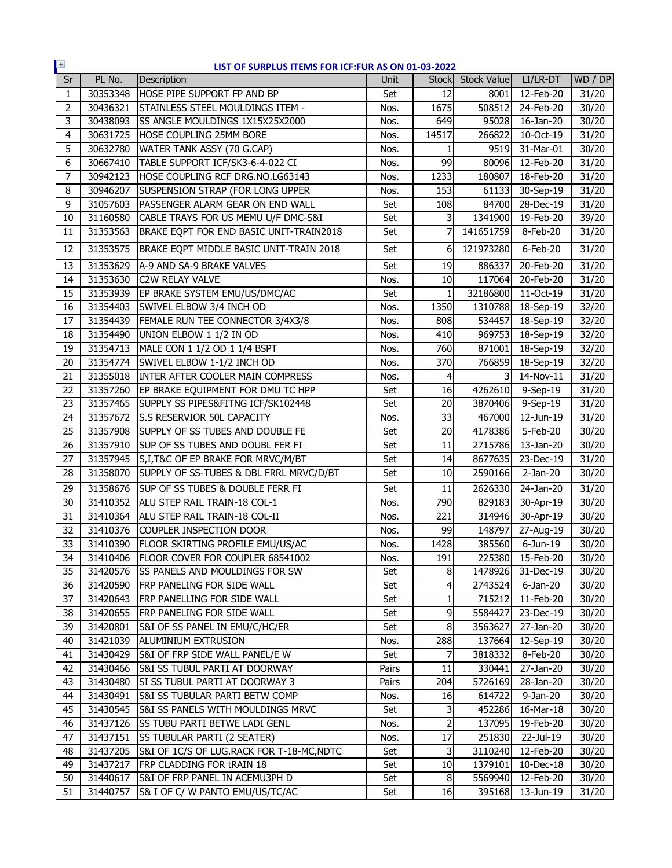| $\pm$           |          | LIST OF SURPLUS ITEMS FOR ICF:FUR AS ON 01-03-2022 |       |              |                   |                         |         |
|-----------------|----------|----------------------------------------------------|-------|--------------|-------------------|-------------------------|---------|
| Sr              | PL No.   | Description                                        | Unit  |              | Stock Stock Value | LI/LR-DT                | WD / DP |
| $\mathbf{1}$    | 30353348 | HOSE PIPE SUPPORT FP AND BP                        | Set   | 12           | 8001              | 12-Feb-20               | 31/20   |
| $\overline{2}$  | 30436321 | STAINLESS STEEL MOULDINGS ITEM -                   | Nos.  | 1675         | 508512            | 24-Feb-20               | 30/20   |
| 3               | 30438093 | <b>ISS ANGLE MOULDINGS 1X15X25X2000</b>            | Nos.  | 649          | 95028             | 16-Jan-20               | 30/20   |
| $\overline{4}$  | 30631725 | <b>HOSE COUPLING 25MM BORE</b>                     | Nos.  | 14517        | 266822            | $\overline{10}$ -Oct-19 | 31/20   |
| 5               | 30632780 | WATER TANK ASSY (70 G.CAP)                         | Nos.  |              | 9519              | 31-Mar-01               | 30/20   |
| 6               | 30667410 | TABLE SUPPORT ICF/SK3-6-4-022 CI                   | Nos.  | 99           | 80096             | 12-Feb-20               | 31/20   |
| $\overline{7}$  | 30942123 | HOSE COUPLING RCF DRG.NO.LG63143                   | Nos.  | 1233         | 180807            | 18-Feb-20               | 31/20   |
| 8               | 30946207 | <b>SUSPENSION STRAP (FOR LONG UPPER</b>            | Nos.  | 153          |                   | 61133 30-Sep-19         | 31/20   |
| 9               | 31057603 | PASSENGER ALARM GEAR ON END WALL                   | Set   | 108          | 84700             | $28$ -Dec-19            | 31/20   |
| 10              | 31160580 | CABLE TRAYS FOR US MEMU U/F DMC-S&I                | Set   | 3            |                   | 1341900 19-Feb-20       | 39/20   |
| 11              | 31353563 | BRAKE EQPT FOR END BASIC UNIT-TRAIN2018            | Set   | 7            | 141651759         | 8-Feb-20                | 31/20   |
| 12              | 31353575 | BRAKE EQPT MIDDLE BASIC UNIT-TRAIN 2018            | Set   | 6            | 121973280         | 6-Feb-20                | 31/20   |
| 13              | 31353629 | A-9 AND SA-9 BRAKE VALVES                          | Set   | 19           | 886337            | 20-Feb-20               | 31/20   |
| 14              | 31353630 | <b>C2W RELAY VALVE</b>                             | Nos.  | 10           | 117064            | 20-Feb-20               | 31/20   |
| 15              | 31353939 | EP BRAKE SYSTEM EMU/US/DMC/AC                      | Set   | $\mathbf{1}$ | 32186800          | 11-Oct-19               | 31/20   |
| 16              | 31354403 | SWIVEL ELBOW 3/4 INCH OD                           | Nos.  | 1350         | 1310788           | 18-Sep-19               | 32/20   |
| 17              | 31354439 | FEMALE RUN TEE CONNECTOR 3/4X3/8                   | Nos.  | 808          | 534457            | 18-Sep-19               | 32/20   |
| 18              | 31354490 | UNION ELBOW 1 1/2 IN OD                            | Nos.  | 410          | 969753            | 18-Sep-19               | 32/20   |
| 19              | 31354713 | MALE CON 1 1/2 OD 1 1/4 BSPT                       | Nos.  | 760          | 871001            | 18-Sep-19               | 32/20   |
| 20              | 31354774 | SWIVEL ELBOW 1-1/2 INCH OD                         | Nos.  | 370          |                   | 766859 18-Sep-19        | 32/20   |
| 21              | 31355018 | <b>INTER AFTER COOLER MAIN COMPRESS</b>            | Nos.  | 4            |                   | 3 14-Nov-11             | 31/20   |
| 22              | 31357260 | EP BRAKE EQUIPMENT FOR DMU TC HPP                  | Set   | 16           |                   | 4262610 9-Sep-19        | 31/20   |
| 23              | 31357465 | SUPPLY SS PIPES&FITNG ICF/SK102448                 | Set   | 20           | 3870406           | 9-Sep-19                | 31/20   |
| 24              | 31357672 | <b>S.S RESERVIOR 50L CAPACITY</b>                  | Nos.  | 33           | 467000            | 12-Jun-19               | 31/20   |
| 25              | 31357908 | SUPPLY OF SS TUBES AND DOUBLE FE                   | Set   | 20           | 4178386           | 5-Feb-20                | 30/20   |
| 26              | 31357910 | SUP OF SS TUBES AND DOUBL FER FI                   | Set   | 11           | 2715786           | 13-Jan-20               | 30/20   |
| 27              | 31357945 | S, I, T&C OF EP BRAKE FOR MRVC/M/BT                | Set   | 14           | 8677635           | 23-Dec-19               | 31/20   |
| 28              | 31358070 | SUPPLY OF SS-TUBES & DBL FRRL MRVC/D/BT            | Set   | 10           | 2590166           | $2-Jan-20$              | 30/20   |
| 29              | 31358676 | SUP OF SS TUBES & DOUBLE FERR FI                   | Set   | 11           | 2626330           | 24-Jan-20               | 31/20   |
| 30              | 31410352 | ALU STEP RAIL TRAIN-18 COL-1                       | Nos.  | 790          | 829183            | 30-Apr-19               | 30/20   |
| 31              | 31410364 | ALU STEP RAIL TRAIN-18 COL-II                      | Nos.  | 221          |                   | 314946 30-Apr-19        | 30/20   |
| 32              | 31410376 | COUPLER INSPECTION DOOR                            | Nos.  | 99           | 148797            | 27-Aug-19               | 30/20   |
| $\overline{33}$ | 31410390 | <b>FLOOR SKIRTING PROFILE EMU/US/AC</b>            | Nos.  | 1428         | 385560            | 6-Jun-19                | 30/20   |
| 34              |          | 31410406   FLOOR COVER FOR COUPLER 68541002        | Nos.  | 191          | 225380            | 15-Feb-20               | 30/20   |
| 35              |          | 31420576 SS PANELS AND MOULDINGS FOR SW            | Set   | 8            | 1478926           | 31-Dec-19               | 30/20   |
| 36              |          | 31420590 FRP PANELING FOR SIDE WALL                | Set   | 4            | 2743524           | $6$ -Jan-20             | 30/20   |
| 37              | 31420643 | FRP PANELLING FOR SIDE WALL                        | Set   | 1            | 715212            | 11-Feb-20               | 30/20   |
| 38              |          | 31420655 FRP PANELING FOR SIDE WALL                | Set   | 9            | 5584427           | 23-Dec-19               | 30/20   |
| 39              | 31420801 | S&I OF SS PANEL IN EMU/C/HC/ER                     | Set   | 8            | 3563627           | 27-Jan-20               | 30/20   |
| 40              | 31421039 | <b>ALUMINIUM EXTRUSION</b>                         | Nos.  | 288          | 137664            | 12-Sep-19               | 30/20   |
| 41              |          | 31430429 S&I OF FRP SIDE WALL PANEL/E W            | Set   | 7            | 3818332           | 8-Feb-20                | 30/20   |
| 42              | 31430466 | <b>S&amp;I SS TUBUL PARTI AT DOORWAY</b>           | Pairs | 11           | 330441            | 27-Jan-20               | 30/20   |
| 43              | 31430480 | SI SS TUBUL PARTI AT DOORWAY 3                     | Pairs | 204          | 5726169           | 28-Jan-20               | 30/20   |
| 44              | 31430491 | S&I SS TUBULAR PARTI BETW COMP                     | Nos.  | 16           | 614722            | 9-Jan-20                | 30/20   |
| 45              | 31430545 | S&I SS PANELS WITH MOULDINGS MRVC                  | Set   | 3            | 452286            | 16-Mar-18               | 30/20   |
| 46              | 31437126 | <b>SS TUBU PARTI BETWE LADI GENL</b>               | Nos.  | 2            | 137095            | 19-Feb-20               | 30/20   |
| 47              | 31437151 | <b>SS TUBULAR PARTI (2 SEATER)</b>                 | Nos.  | 17           | 251830            | 22-Jul-19               | 30/20   |
| 48              | 31437205 | S&I OF 1C/S OF LUG.RACK FOR T-18-MC, NDTC          | Set   | 3            | 3110240           | 12-Feb-20               | 30/20   |
| 49              | 31437217 | FRP CLADDING FOR tRAIN 18                          | Set   | 10           | 1379101           | 10-Dec-18               | 30/20   |
| 50              | 31440617 | S&I OF FRP PANEL IN ACEMU3PH D                     | Set   | 8            | 5569940           | 12-Feb-20               | 30/20   |
| 51              | 31440757 | S& I OF C/ W PANTO EMU/US/TC/AC                    | Set   | 16           | 395168            | 13-Jun-19               | 31/20   |
|                 |          |                                                    |       |              |                   |                         |         |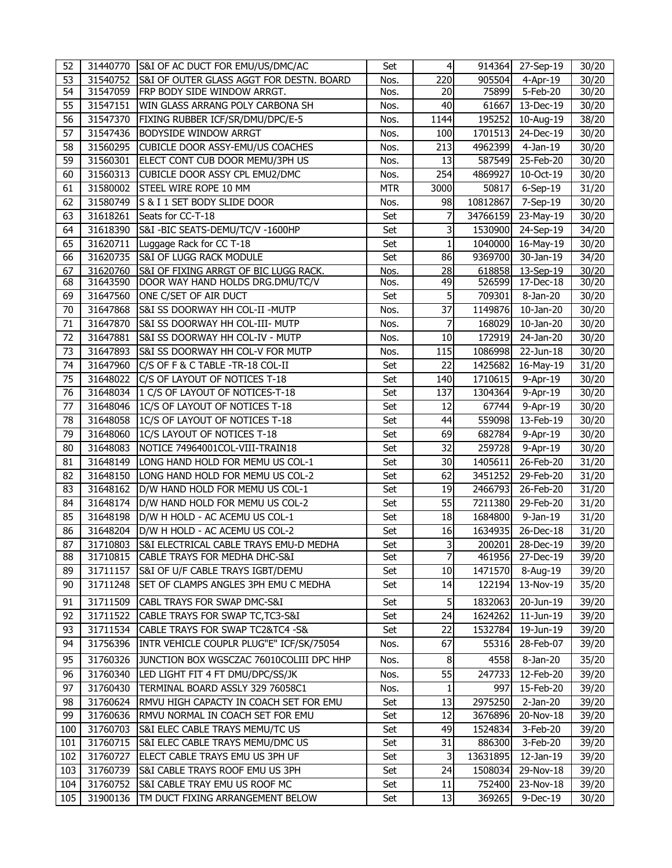| 52         |                      | 31440770 S&I OF AC DUCT FOR EMU/US/DMC/AC                                  | Set        | $\overline{4}$ |                    | 914364 27-Sep-19        | 30/20          |
|------------|----------------------|----------------------------------------------------------------------------|------------|----------------|--------------------|-------------------------|----------------|
| 53         | 31540752             | S&I OF OUTER GLASS AGGT FOR DESTN. BOARD                                   | Nos.       | 220            | 905504             | $-4$ -Apr-19            | 30/20          |
| 54         | 31547059             | FRP BODY SIDE WINDOW ARRGT.                                                | Nos.       | 20             | 75899              | 5-Feb-20                | 30/20          |
| 55         | 31547151             | WIN GLASS ARRANG POLY CARBONA SH                                           | Nos.       | 40             | 61667              | 13-Dec-19               | 30/20          |
| 56         | 31547370             | FIXING RUBBER ICF/SR/DMU/DPC/E-5                                           | Nos.       | 1144           | 195252             | 10-Aug-19               | 38/20          |
| 57         | 31547436             | <b>BODYSIDE WINDOW ARRGT</b>                                               | Nos.       | 100            | 1701513            | 24-Dec-19               | 30/20          |
| 58         | 31560295             | CUBICLE DOOR ASSY-EMU/US COACHES                                           | Nos.       | 213            | 4962399            | $4-Jan-19$              | 30/20          |
| 59         | 31560301             | ELECT CONT CUB DOOR MEMU/3PH US                                            | Nos.       | 13             | 587549             | 25-Feb-20               | 30/20          |
| 60         | 31560313             | CUBICLE DOOR ASSY CPL EMU2/DMC                                             | Nos.       | 254            | 4869927            | 10-Oct-19               | 30/20          |
| 61         | 31580002             | STEEL WIRE ROPE 10 MM                                                      | <b>MTR</b> | 3000           | 50817              | $6-Sep-19$              | 31/20          |
| 62         | 31580749             | S & I 1 SET BODY SLIDE DOOR                                                | Nos.       | 98             | 10812867           | 7-Sep-19                | 30/20          |
| 63         | 31618261             | Seats for CC-T-18                                                          | Set        | 7              | 34766159           | 23-May-19               | 30/20          |
| 64         | 31618390             | S&I -BIC SEATS-DEMU/TC/V -1600HP                                           | Set        | 3              | 1530900            | 24-Sep-19               | 34/20          |
| 65         | 31620711             | Luggage Rack for CC T-18                                                   | Set        | $\mathbf{1}$   | 1040000            | 16-May-19               | 30/20          |
| 66         | 31620735             | S&I OF LUGG RACK MODULE                                                    | Set        | 86             | 9369700            | 30-Jan-19               | 34/20          |
| 67         | 31620760             | S&I OF FIXING ARRGT OF BIC LUGG RACK.                                      | Nos.       | 28             | 618858             | 13-Sep-19               | 30/20          |
| 68         | 31643590             | DOOR WAY HAND HOLDS DRG.DMU/TC/V                                           | Nos.       | 49             | 526599             | 17-Dec-18               | 30/20          |
| 69         | 31647560             | ONE C/SET OF AIR DUCT                                                      | Set        | 5              | 709301             | 8-Jan-20                | 30/20          |
| 70         | 31647868             | S&I SS DOORWAY HH COL-II - MUTP                                            | Nos.       | 37             | 1149876            | 10-Jan-20               | 30/20          |
| 71         | 31647870             | S&I SS DOORWAY HH COL-III- MUTP                                            | Nos.       | 7              | 168029             | 10-Jan-20               | 30/20          |
| 72<br>73   | 31647881             | S&I SS DOORWAY HH COL-IV - MUTP                                            | Nos.       | 10             | 172919             | 24-Jan-20               | 30/20          |
|            | 31647893             | S&I SS DOORWAY HH COL-V FOR MUTP                                           | Nos.       | 115            | 1086998            | 22-Jun-18               | 30/20          |
| 74         | 31647960             | C/S OF F & C TABLE -TR-18 COL-II                                           | Set        | 22             | 1425682<br>1710615 | 16-May-19               | 31/20          |
| 75         | 31648022             | C/S OF LAYOUT OF NOTICES T-18<br>1 C/S OF LAYOUT OF NOTICES-T-18           | Set        | 140            |                    | 9-Apr-19                | 30/20          |
| 76         | 31648034             |                                                                            | Set        | 137            | 1304364            | 9-Apr-19                | 30/20          |
| 77<br>78   | 31648046             | 1C/S OF LAYOUT OF NOTICES T-18                                             | Set        | 12             | 67744<br>559098    | 9-Apr-19                | 30/20          |
| 79         | 31648058             | 1C/S OF LAYOUT OF NOTICES T-18                                             | Set        | 44             |                    | 13-Feb-19               | 30/20          |
| 80         | 31648060             | <b>IC/S LAYOUT OF NOTICES T-18</b><br>NOTICE 74964001COL-VIII-TRAIN18      | Set        | 69<br>32       | 682784<br>259728   | 9-Apr-19                | 30/20<br>30/20 |
| 81         | 31648083<br>31648149 | LONG HAND HOLD FOR MEMU US COL-1                                           | Set<br>Set | 30             | 1405611            | 9-Apr-19<br>26-Feb-20   | 31/20          |
| 82         | 31648150             | LONG HAND HOLD FOR MEMU US COL-2                                           | Set        | 62             | 3451252            | 29-Feb-20               | 31/20          |
| 83         | 31648162             | D/W HAND HOLD FOR MEMU US COL-1                                            | Set        | 19             | 2466793            | 26-Feb-20               | 31/20          |
| 84         |                      | 31648174   D/W HAND HOLD FOR MEMU US COL-2                                 | Set        | 55             | 7211380            | 29-Feb-20               | 31/20          |
| 85         |                      | 31648198  D/W H HOLD - AC ACEMU US COL-1                                   | Set        | 18             | 1684800            | $9-Jan-19$              | 31/20          |
| 86         |                      | 31648204   D/W H HOLD - AC ACEMU US COL-2                                  | Set        | 16             | 1634935            | 26-Dec-18               | 31/20          |
| 87         | 31710803             | S&I ELECTRICAL CABLE TRAYS EMU-D MEDHA                                     | Set        | 3              | 200201             | 28-Dec-19               | 39/20          |
| 88         | 31710815             | <b>CABLE TRAYS FOR MEDHA DHC-S&amp;I</b>                                   | Set        | 7              |                    | 461956 27-Dec-19        | 39/20          |
| 89         | 31711157             | S&I OF U/F CABLE TRAYS IGBT/DEMU                                           | Set        | 10             | 1471570            | 8-Aug-19                | 39/20          |
| 90         | 31711248             | SET OF CLAMPS ANGLES 3PH EMU C MEDHA                                       | Set        | 14             | 122194             | 13-Nov-19               | 35/20          |
| 91         | 31711509             | CABL TRAYS FOR SWAP DMC-S&I                                                | Set        | 5              | 1832063            | 20-Jun-19               | 39/20          |
| 92         |                      | 31711522 CABLE TRAYS FOR SWAP TC, TC3-S&I                                  | Set        | 24             | 1624262            | 11-Jun-19               | 39/20          |
| 93         | 31711534             | CABLE TRAYS FOR SWAP TC2&TC4 -S&                                           | Set        | 22             | 1532784            | 19-Jun-19               | 39/20          |
| 94         | 31756396             | INTR VEHICLE COUPLR PLUG"E" ICF/SK/75054                                   | Nos.       | 67             | 55316              | 28-Feb-07               | 39/20          |
|            |                      |                                                                            |            |                |                    |                         |                |
| 95         | 31760326             | JUNCTION BOX WGSCZAC 76010COLIII DPC HHP                                   | Nos.       | 8              | 4558               | 8-Jan-20                | 35/20          |
| 96         | 31760340             | LED LIGHT FIT 4 FT DMU/DPC/SS/JK                                           | Nos.       | 55             | 247733             | 12-Feb-20               | 39/20          |
| 97         | 31760430             | TERMINAL BOARD ASSLY 329 76058C1                                           | Nos.       | 1              | 997                | 15-Feb-20               | 39/20          |
| 98<br>99   | 31760624<br>31760636 | RMVU HIGH CAPACTY IN COACH SET FOR EMU<br>RMVU NORMAL IN COACH SET FOR EMU | Set        | 13<br>12       | 2975250<br>3676896 | $2-Jan-20$<br>20-Nov-18 | 39/20          |
|            |                      |                                                                            | Set        |                |                    |                         | 39/20          |
| 100<br>101 | 31760703<br>31760715 | S&I ELEC CABLE TRAYS MEMU/TC US<br>S&I ELEC CABLE TRAYS MEMU/DMC US        | Set        | 49<br>31       | 1524834            | 3-Feb-20                | 39/20          |
| 102        | 31760727             | ELECT CABLE TRAYS EMU US 3PH UF                                            | Set        | 3              | 886300<br>13631895 | 3-Feb-20<br>12-Jan-19   | 39/20<br>39/20 |
| 103        | 31760739             | S&I CABLE TRAYS ROOF EMU US 3PH                                            | Set<br>Set | 24             | 1508034            | 29-Nov-18               | 39/20          |
| 104        | 31760752             | S&I CABLE TRAY EMU US ROOF MC                                              |            | 11             | 752400             | 23-Nov-18               | 39/20          |
|            |                      |                                                                            | Set        |                |                    |                         |                |
| 105        | 31900136             | TM DUCT FIXING ARRANGEMENT BELOW                                           | Set        | 13             | 369265             | 9-Dec-19                | 30/20          |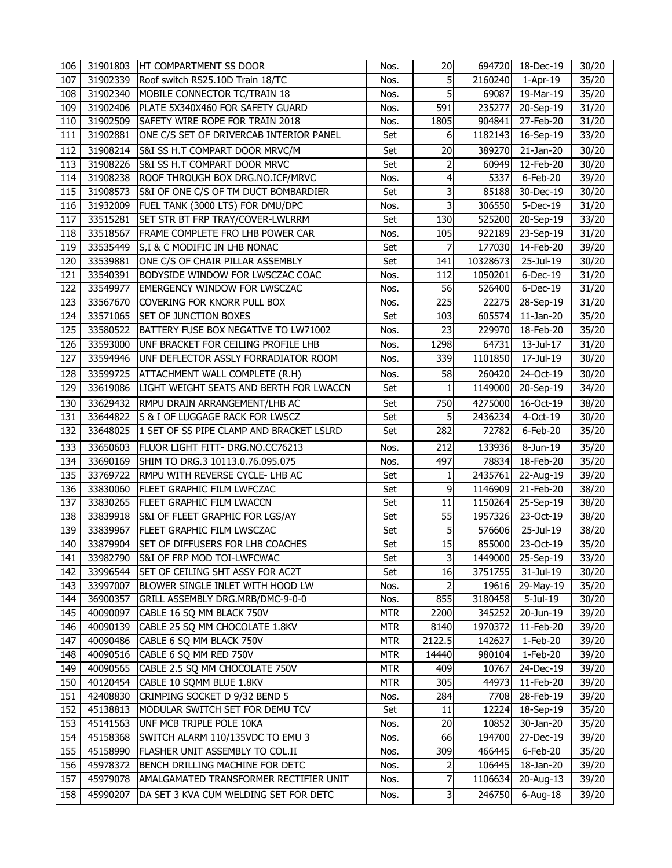| 106 |          | 31901803 HT COMPARTMENT SS DOOR          | Nos.       | 20                      |          | 694720 18-Dec-19        | 30/20 |
|-----|----------|------------------------------------------|------------|-------------------------|----------|-------------------------|-------|
| 107 | 31902339 | Roof switch RS25.10D Train 18/TC         | Nos.       | 5                       | 2160240  | $1-Apr-19$              | 35/20 |
| 108 | 31902340 | MOBILE CONNECTOR TC/TRAIN 18             | Nos.       | 5                       | 69087    | 19-Mar-19               | 35/20 |
| 109 | 31902406 | PLATE 5X340X460 FOR SAFETY GUARD         | Nos.       | $\overline{591}$        | 235277   | 20-Sep-19               | 31/20 |
| 110 | 31902509 | SAFETY WIRE ROPE FOR TRAIN 2018          | Nos.       | 1805                    | 904841   | 27-Feb-20               | 31/20 |
| 111 | 31902881 | ONE C/S SET OF DRIVERCAB INTERIOR PANEL  | Set        | 6                       | 1182143  | 16-Sep-19               | 33/20 |
| 112 | 31908214 | S&I SS H.T COMPART DOOR MRVC/M           | Set        | 20                      | 389270   | $21$ -Jan-20            | 30/20 |
| 113 | 31908226 | S&I SS H.T COMPART DOOR MRVC             | Set        | 2                       | 60949    | 12-Feb-20               | 30/20 |
| 114 | 31908238 | ROOF THROUGH BOX DRG.NO.ICF/MRVC         | Nos.       | 4                       | 5337     | 6-Feb-20                | 39/20 |
| 115 | 31908573 | S&I OF ONE C/S OF TM DUCT BOMBARDIER     | Set        | 3                       | 85188    | 30-Dec-19               | 30/20 |
| 116 | 31932009 | FUEL TANK (3000 LTS) FOR DMU/DPC         | Nos.       | 3                       | 306550   | 5-Dec-19                | 31/20 |
| 117 | 33515281 | SET STR BT FRP TRAY/COVER-LWLRRM         | Set        | 130                     | 525200   | 20-Sep-19               | 33/20 |
| 118 | 33518567 | FRAME COMPLETE FRO LHB POWER CAR         | Nos.       | 105                     | 922189   | 23-Sep-19               | 31/20 |
| 119 | 33535449 | S, I & C MODIFIC IN LHB NONAC            | Set        | 7                       | 177030   | 14-Feb-20               | 39/20 |
| 120 | 33539881 | ONE C/S OF CHAIR PILLAR ASSEMBLY         | Set        | 141                     | 10328673 | 25-Jul-19               | 30/20 |
| 121 | 33540391 | BODYSIDE WINDOW FOR LWSCZAC COAC         | Nos.       | 112                     | 1050201  | $6$ -Dec-19             | 31/20 |
| 122 | 33549977 | EMERGENCY WINDOW FOR LWSCZAC             | Nos.       | 56                      | 526400   | $6$ -Dec-19             | 31/20 |
| 123 | 33567670 | COVERING FOR KNORR PULL BOX              | Nos.       | 225                     | 22275    | 28-Sep-19               | 31/20 |
| 124 | 33571065 | <b>SET OF JUNCTION BOXES</b>             | Set        | 103                     | 605574   | 11-Jan-20               | 35/20 |
| 125 | 33580522 | BATTERY FUSE BOX NEGATIVE TO LW71002     | Nos.       | 23                      | 229970   | 18-Feb-20               | 35/20 |
| 126 | 33593000 | UNF BRACKET FOR CEILING PROFILE LHB      | Nos.       | 1298                    | 64731    | 13-Jul-17               | 31/20 |
| 127 | 33594946 | UNF DEFLECTOR ASSLY FORRADIATOR ROOM     | Nos.       | 339                     | 1101850  | 17-Jul-19               | 30/20 |
| 128 | 33599725 | ATTACHMENT WALL COMPLETE (R.H)           | Nos.       | 58                      | 260420   | 24-Oct-19               | 30/20 |
| 129 | 33619086 | LIGHT WEIGHT SEATS AND BERTH FOR LWACCN  | Set        | 1                       | 1149000  | 20-Sep-19               | 34/20 |
| 130 | 33629432 | RMPU DRAIN ARRANGEMENT/LHB AC            | Set        | 750                     | 4275000  | 16-Oct-19               | 38/20 |
| 131 | 33644822 | S & I OF LUGGAGE RACK FOR LWSCZ          | Set        | 5                       | 2436234  | 4-Oct-19                | 30/20 |
| 132 | 33648025 | 1 SET OF SS PIPE CLAMP AND BRACKET LSLRD | Set        | 282                     | 72782    | 6-Feb-20                | 35/20 |
| 133 | 33650603 | <b>FLUOR LIGHT FITT- DRG.NO.CC76213</b>  | Nos.       | 212                     | 133936   | 8-Jun-19                | 35/20 |
| 134 | 33690169 | SHIM TO DRG.3 10113.0.76.095.075         | Nos.       | 497                     | 78834    | 18-Feb-20               | 35/20 |
| 135 | 33769722 | RMPU WITH REVERSE CYCLE- LHB AC          | Set        | $\mathbf{1}$            | 2435761  | 22-Aug-19               | 39/20 |
| 136 | 33830060 | FLEET GRAPHIC FILM LWFCZAC               | Set        | 9                       | 1146909  | 21-Feb-20               | 38/20 |
| 137 | 33830265 | FLEET GRAPHIC FILM LWACCN                | Set        | 11                      | 1150264  | 25-Sep-19               | 38/20 |
| 138 | 33839918 | S&I OF FLEET GRAPHIC FOR LGS/AY          | Set        | 55                      | 1957326  | $\overline{2}$ 3-Oct-19 | 38/20 |
| 139 | 33839967 | FLEET GRAPHIC FILM LWSCZAC               | Set        | 5                       | 576606   | 25-Jul-19               | 38/20 |
| 140 | 33879904 | SET OF DIFFUSERS FOR LHB COACHES         | Set        | 15                      | 855000   | 23-Oct-19               | 35/20 |
| 141 | 33982790 | S&I OF FRP MOD TOI-LWFCWAC               | Set        | $\overline{\mathsf{3}}$ | 1449000  | 25-Sep-19               | 33/20 |
| 142 | 33996544 | SET OF CEILING SHT ASSY FOR AC2T         | Set        | 16                      | 3751755  | 31-Jul-19               | 30/20 |
| 143 | 33997007 | BLOWER SINGLE INLET WITH HOOD LW         | Nos.       | $\overline{a}$          | 19616    | 29-May-19               | 35/20 |
| 144 | 36900357 | GRILL ASSEMBLY DRG.MRB/DMC-9-0-0         | Nos.       | 855                     | 3180458  | 5-Jul-19                | 30/20 |
| 145 | 40090097 | CABLE 16 SQ MM BLACK 750V                | <b>MTR</b> | 2200                    | 345252   | 20-Jun-19               | 39/20 |
| 146 | 40090139 | CABLE 25 SQ MM CHOCOLATE 1.8KV           | <b>MTR</b> | 8140                    | 1970372  | 11-Feb-20               | 39/20 |
| 147 | 40090486 | CABLE 6 SQ MM BLACK 750V                 | <b>MTR</b> | 2122.5                  | 142627   | 1-Feb-20                | 39/20 |
| 148 | 40090516 | CABLE 6 SQ MM RED 750V                   | <b>MTR</b> | 14440                   | 980104   | 1-Feb-20                | 39/20 |
| 149 | 40090565 | CABLE 2.5 SQ MM CHOCOLATE 750V           | <b>MTR</b> | 409                     | 10767    | 24-Dec-19               | 39/20 |
| 150 | 40120454 | CABLE 10 SQMM BLUE 1.8KV                 | <b>MTR</b> | 305                     | 44973    | 11-Feb-20               | 39/20 |
| 151 | 42408830 | CRIMPING SOCKET D 9/32 BEND 5            | Nos.       | 284                     | 7708     | 28-Feb-19               | 39/20 |
| 152 | 45138813 | MODULAR SWITCH SET FOR DEMU TCV          | Set        | 11                      | 12224    | 18-Sep-19               | 35/20 |
| 153 | 45141563 | UNF MCB TRIPLE POLE 10KA                 | Nos.       | 20                      | 10852    | $\overline{30}$ -Jan-20 | 35/20 |
| 154 | 45158368 | SWITCH ALARM 110/135VDC TO EMU 3         | Nos.       | 66                      | 194700   | 27-Dec-19               | 39/20 |
| 155 | 45158990 | FLASHER UNIT ASSEMBLY TO COL.II          | Nos.       | 309                     | 466445   | 6-Feb-20                | 35/20 |
| 156 | 45978372 | BENCH DRILLING MACHINE FOR DETC          | Nos.       | 2                       | 106445   | 18-Jan-20               | 39/20 |
| 157 | 45979078 | AMALGAMATED TRANSFORMER RECTIFIER UNIT   | Nos.       | $\overline{7}$          | 1106634  | 20-Aug-13               | 39/20 |
| 158 | 45990207 | DA SET 3 KVA CUM WELDING SET FOR DETC    | Nos.       | 3                       | 246750   | $6$ -Aug-18             | 39/20 |
|     |          |                                          |            |                         |          |                         |       |